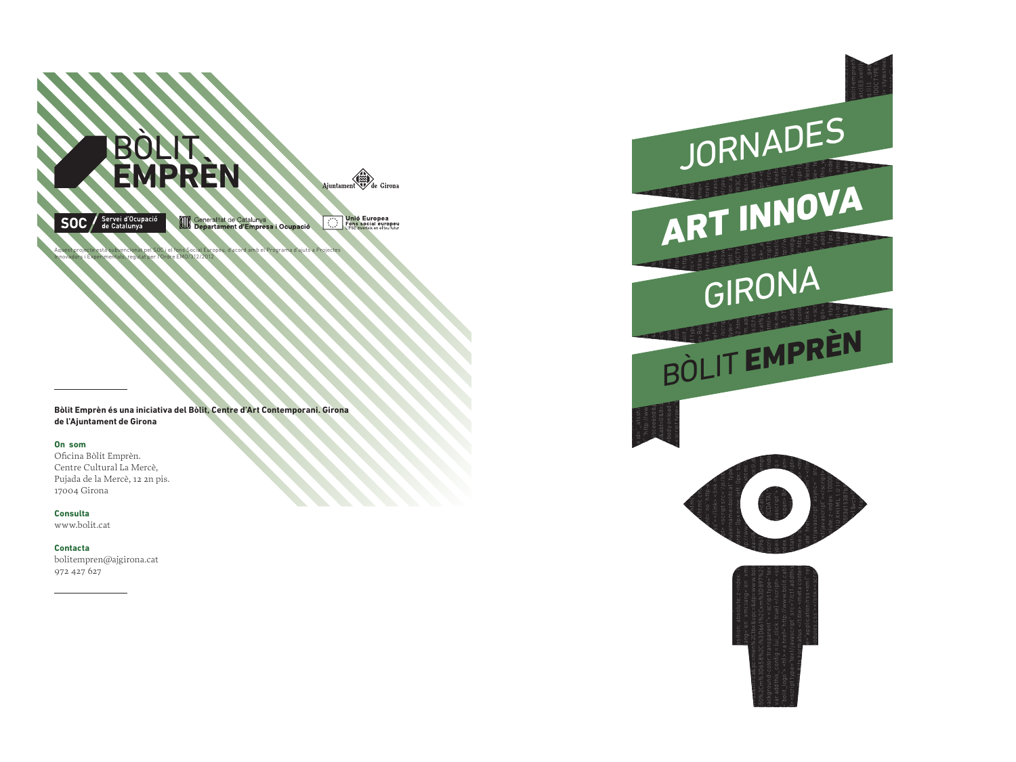

Aquest projecte està subvencionat pel SOC i el fons Social Europeu, d'acord amb el Programa d'ajuts a Projectes

Innovadors i Experimentals, regulat per l'Ordre EMO/312/2012

**Bòlit Emprèn és una iniciativa del Bòlit, Centre d'Art Contemporani. Girona de l'Ajuntament de Girona**

## **On som**

Oficina Bòlit Emprèn. Centre Cultural La Mercè, Pujada de la Mercè, 12 2n pis. 17004 Girona

**Consulta** www.bolit.cat

**Contacta** bolitempren@ajgirona.cat 972 427 627

 $\alpha$  at  $\sin \theta$  and  $\alpha$  and  $\alpha$  and  $\alpha$  and  $\alpha$  and  $\alpha$  and  $\alpha$  and  $\alpha$  and  $\alpha$  and  $\alpha$  and  $\alpha$  and  $\alpha$  and  $\alpha$  and  $\alpha$  and  $\alpha$  and  $\alpha$  and  $\alpha$  and  $\alpha$  and  $\alpha$  and  $\alpha$  and  $\alpha$  and  $\alpha$  and  $\alpha$  and  $\alpha$  $\mathbf{r} = \mathbf{r} \cdot \mathbf{r}$  , where  $\mathbf{r} = \mathbf{r} \cdot \mathbf{r}$  , where  $\mathbf{r} = \mathbf{r} \cdot \mathbf{r}$  , where  $\mathbf{r} = \mathbf{r} \cdot \mathbf{r}$  $\mathcal{L}$  and  $\mathcal{L}$  and  $\mathcal{L}$  and  $\mathcal{L}$  and  $\mathcal{L}$  and  $\mathcal{L}$  and  $\mathcal{L}$  and  $\mathcal{L}$  and  $\mathcal{L}$  and  $\mathcal{L}$  and  $\mathcal{L}$  and  $\mathcal{L}$  and  $\mathcal{L}$  and  $\mathcal{L}$  and  $\mathcal{L}$  and  $\mathcal{L}$  and  $\mathcal{L}$  and  $\mathcal{R}$  and  $\mathcal{R}$  and  $\mathcal{R}$  and  $\mathcal{R}$  and  $\mathcal{R}$  and  $\mathcal{R}$  and  $\mathcal{R}$  and  $\mathcal{R}$  and  $\mathcal{R}$  and  $\mathcal{R}$  and  $\mathcal{R}$  and  $\mathcal{R}$  and  $\mathcal{R}$  and  $\mathcal{R}$  and  $\mathcal{R}$  and  $\mathcal{R}$  and  $\mathcal{R}$  and  $\frac{1}{2}$  and  $\frac{1}{2}$  and  $\frac{1}{2}$  and  $\frac{1}{2}$  and  $\frac{1}{2}$  and  $\frac{1}{2}$  and  $\frac{1}{2}$  and  $\frac{1}{2}$  and  $\frac{1}{2}$  and  $\frac{1}{2}$  and  $\frac{1}{2}$  and  $\frac{1}{2}$  and  $\frac{1}{2}$  and  $\frac{1}{2}$  and  $\frac{1}{2}$  and  $\frac{1}{2}$  a **The Contribution of the Contribution of the Contribution of the Contribution of the Contribution of the Contribution of the Contribution of the Contribution of the Contribution of the Contribution of the Contribution of t** script> <link media="screen" type="text/css" rel="stylesheet" href="/css/activity.css"></link> </head> <body> <div id="wrap"> <div id="head"> <div id="bolit\_logo"> <h1> <a href="http://www.bolit.cat/cat/index.html"> <span> Bòlit </span> <!DOCTYPE html PUBLIC "-//W3C//DTD XHTML 1.0 Transitional//EN" "http://www.w3.org/TR/xhtml1/DTD/xhtml1-transitional.dtd"><html xmlns="http://www.w3.org/1999/xhtml"><head><script type="text/javascript" src="//ct1.addthis.com/static/r07/auth016.js"></script><link rel="stylesheet" type="text/css" href="//ct1.addthis.com/static/r07/widget118.css" media="all"></link><meta content="text/html; charset=utf-8" http-equiv="content-type"></meta><title> Bòlit. Kits Formatius </title> <meta content="" name="description"></meta> <meta content="" name="keywords"></meta>  $\epsilon$  and  $\epsilon$  . The contract of  $\epsilon$  is the contract of  $\epsilon$  is the contract of  $\epsilon$  in  $\epsilon$  is the contract of  $\epsilon$  is the contract of  $\epsilon$  is the contract of  $\epsilon$  is the contract of  $\epsilon$  is the contract of  $\epsilon$  is the c  $\mathbb{R}^3$  is contained with the contact  $\mathbb{R}^3$  is the contact of  $\mathbb{R}^3$  . The contact of  $\mathbb{R}^3$  is the contact of  $\mathbb{R}^3$  is the contact of  $\mathbb{R}^3$  is the contact of  $\mathbb{R}^3$  is the contact of  $\mathbb{R}$  $\frac{1}{2}$  is equal to the condition of  $\frac{1}{2}$  is equal to  $\frac{1}{2}$  is equal to  $\frac{1}{2}$  is equal to  $\frac{1}{2}$  is equal to  $\frac{1}{2}$  is equal to  $\frac{1}{2}$  is equal to  $\frac{1}{2}$  is equal to  $\frac{1}{2}$  is equal to  $\frac{1}{$  $\frac{1}{2}$  ,  $\frac{1}{2}$  ,  $\frac{1}{2}$  ,  $\frac{1}{2}$  ,  $\frac{1}{2}$  ,  $\frac{1}{2}$  ,  $\frac{1}{2}$  ,  $\frac{1}{2}$  ,  $\frac{1}{2}$  ,  $\frac{1}{2}$  ,  $\frac{1}{2}$  ,  $\frac{1}{2}$  ,  $\frac{1}{2}$  ,  $\frac{1}{2}$  ,  $\frac{1}{2}$  ,  $\frac{1}{2}$  ,  $\frac{1}{2}$  ,  $\frac{1}{2}$  ,  $\frac{1$ osition; absolute;  $z$ -index; in concert Dox none; left; Dox; to  $z$ -introduct; Dox; to  $z$ -introduct; Dox; to  $z$ -introduct; Dox; to  $z$ -introduct; Dox; to  $z$ -introduct; Dox; to  $z$ -introduct; Dox; to  $z$ -introduction;  $\mathsf{and}$  and  $\mathsf{c}$  in the contract of  $\mathsf{c}$  and  $\mathsf{c}$  and  $\mathsf{c}$  and  $\mathsf{c}$  and  $\mathsf{c}$  and  $\mathsf{c}$  and  $\mathsf{c}$  and  $\mathsf{c}$  and  $\mathsf{c}$ arrows.comer/%2Citox&vnc=&dp=www.boli aa=D& aa=D& aa=D& aa=D& aa=D& aa=D& aa=D& aa=D& aa=D& aa=D& aa=D& aa=D& a  $\frac{1}{2}$  and  $\frac{1}{2}$  and  $\frac{1}{2}$  and  $\frac{1}{2}$  and  $\frac{1}{2}$  and  $\frac{1}{2}$  and  $\frac{1}{2}$  and  $\frac{1}{2}$  and  $\frac{1}{2}$  and  $\frac{1}{2}$  and  $\frac{1}{2}$  and  $\frac{1}{2}$  and  $\frac{1}{2}$  and  $\frac{1}{2}$  and  $\frac{1}{2}$  and  $\frac{1}{2}$  a ackground-color:transparent's-secript type="text" and all control on the secript of the secript type="text" and all control of the secript of the secript of the secript of the secript of the secript of the secript of the s varaddrins\_config={ui\_click: true}</script><script> ype=1 wascript>> g=1 axis.cript> ype=1 axis.cript> ype=1 axis.cript> ype=1 axis.cript> ype=1 axis.cript> ype=1 axis.cript> ype=1 axis.cript> ype=1 axis.cript> ype=1 axis a bolit\_logo'> <his <a href="http://www.bolit.cat/( "ndex, sease" ndex, sease any dex, sease any dex, sease any dex, sease any dex, sease any dex, sease any dex, sease any dex, sease any dex, sease any development of the s descript scentifications (stationary of the control of the control of the control of the control of the control of the control of the control of the control of the control of the control of the control of the control of th  $\mathbb{R}^{\text{scat}}$  . The Kita Example schilder and a set of the content of the content of the content of the content of the content of the content of the content of the content of the content of the content of the content of e="application/rsex-xml("rele value" and make the state of the state of the state of the state of the state of the state of the state of the state of the state of the state of the state of the state of the state of the sta  $\mathbf{v}$  and the set of the set of the set of the set of the set of the set of the set of the set of the set of the set of the set of the set of the set of the set of the set of the set of the set of the set of the set of  $\mathbf{u}$  (have script  $\mathbf{v}$  ) and  $\mathbf{v}$  and  $\mathbf{v}$  and  $\mathbf{v}$  and  $\mathbf{v}$  and  $\mathbf{v}$  and  $\mathbf{v}$  and  $\mathbf{v}$  and  $\mathbf{v}$  and  $\mathbf{v}$  and  $\mathbf{v}$  and  $\mathbf{v}$  and  $\mathbf{v}$  and  $\mathbf{v}$  and  $\mathbf{v}$  and  $\$  $\bullet$  to the z-index  $10000$  and  $\bullet$  and  $\bullet$  and  $\bullet$  and  $\bullet$  and  $\bullet$  and  $\bullet$  and  $\bullet$  and  $\bullet$  and  $\bullet$  and  $\bullet$ of deterministic contract of  $\mathbb{R}^n$  . The first contract of  $\mathbb{R}^n$  is the contract of  $\mathbb{R}^n$  in the contract of  $\mathbb{R}^n$  is the contract of  $\mathbb{R}^n$  is the contract of  $\mathbb{R}^n$  is the contract of  $\mathbb{R}$  $180$  and  $160000$  and  $16000$  and  $16000$  and  $16000$  and  $16000$  and  $16000$  and  $16000$  and  $16000$  and  $16000$  and  $16000$  and  $16000$  and  $16000$  and  $16000$  and  $16000$  and  $16000$  and  $16000$  and  $16000$  and  $16000$ Word and the contract of the contract of the contract of the contract of the contract of the contract of the contract of the contract of the contract of the contract of the contract of the contract of the contract of the c  $\frac{1}{\sinh(\theta)}$  and  $\frac{1}{\sinh(\theta)}$  and  $\frac{1}{\sinh(\theta)}$  and  $\frac{1}{\sinh(\theta)}$  and  $\frac{1}{\sinh(\theta)}$  and  $\frac{1}{\sinh(\theta)}$  and  $\frac{1}{\sinh(\theta)}$  and  $\frac{1}{\sinh(\theta)}$  and  $\frac{1}{\sinh(\theta)}$  and  $\frac{1}{\sinh(\theta)}$  and  $\frac{1}{\sinh(\theta)}$  and  $\frac{1}{\sinh(\theta)}$  and  $\frac{1$ one of the contract of the contract of the contract of the contract of the contract of the contract of the contract of the contract of the contract of the contract of the contract of the contract of the contract of the co  $\frac{1}{2}$  ,  $\frac{1}{2}$  ,  $\frac{1}{2}$  ,  $\frac{1}{2}$  ,  $\frac{1}{2}$  ,  $\frac{1}{2}$  ,  $\frac{1}{2}$  ,  $\frac{1}{2}$  ,  $\frac{1}{2}$  ,  $\frac{1}{2}$  ,  $\frac{1}{2}$  ,  $\frac{1}{2}$  ,  $\frac{1}{2}$  ,  $\frac{1}{2}$  ,  $\frac{1}{2}$  ,  $\frac{1}{2}$  ,  $\frac{1}{2}$  ,  $\frac{1}{2}$  ,  $\frac{1$  $\sim$  1991/92/17,  $\approx$  1991/92/18  $\sim$  1991/92/1991/92/1991/92/1991/92/1991/92/1991/92/1991/92/1991/92/1991/92/1991/92/1991/92/1992/1992/1992/1992/1992/1992/1992/1992/1992/1992/1992/1992/1992/1992/1992/1992/1992/1992/1992/ and the contract of the contract of the contract of the contract of the contract of the contract of the contract of the contract of the contract of the contract of the contract of the contract of the contract of the contra JORNADES<br>ART INNOVA GIRONA<br>BÒLIT EMPRÈN

color.js" type="text/javascript"></script> <script src="/js/lib/swfobject.js" type="text/javascript"></script> <script src="/js/bolit.js" type="text/javascript"></script> <script src="http://s7.addthis.com/js/250/addthis\_widget.js#username=bolitcat" type="text/javascript"></